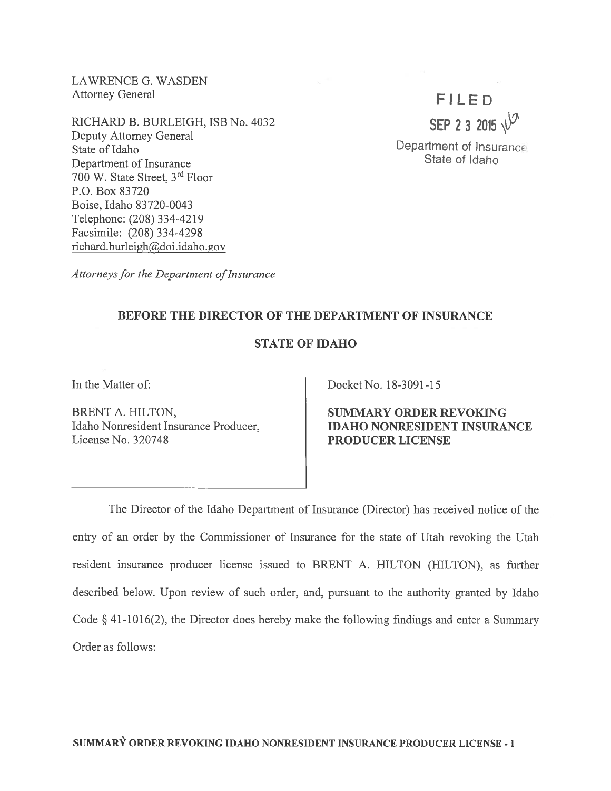LAWRENCE G. WASDEN Attorney General

RICHARD B. BURLEIGH, ISB No. 4032 Deputy Attorney General State of Idaho Department of Insurance 700 W. State Street, 3rd Floor P.O. Box 83720 Boise. Idaho 83 720-0043 Telephone: (208) 334-4219 Facsimile: (208) 334-4298 richard.burleigh@doi.idaho.gov

FILED SEP 2 3 2015  $\sqrt{2}$ 

Department of Insurance State of Idaho

Attorneys for the Department of Insurance

# BEFORE THE DIRECTOR OF THE DEPARTMENT OF INSURANCE

# STATE OF IDAHO

In the Matter of:

BRENT A. HILTON, Idaho Nonresident Insurance Producer, License No. 320748

Docket No. 18-3091-15

SUMMARY ORDER REVOKING IDAHO NONRESIDENT INSURANCE PRODUCER LICENSE

The Director of the Idaho Department of Insurance (Director) has received notice of the entry of an order by the Commissioner of Insurance for the state of Utah revoking the Utah resident insurance producer license issued to BRENT A. HILTON (HILTON), as further described below. Upon review of such order, and, pursuan<sup>t</sup> to the authority granted by Idaho Code § 41-1016(2), the Director does hereby make the following findings and enter <sup>a</sup> Summary Order as follows: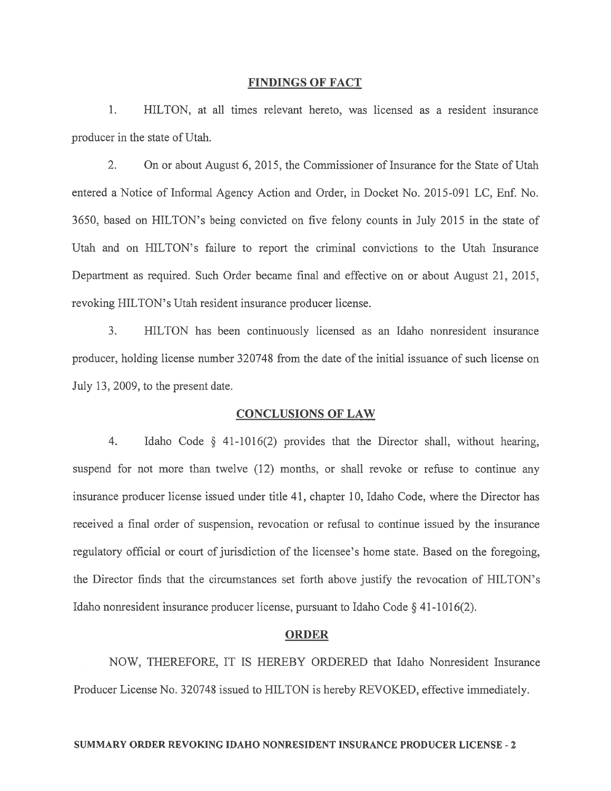### FINDINGS OF FACT

1. HILTON, at all times relevant hereto, was licensed as <sup>a</sup> resident insurance producer in the state of Utah.

2. On or about August 6, 2015, the Commissioner of Insurance for the State of Utah entered a Notice of Informal Agency Action and Order, in Docket No. 2015-091 LC, Enf. No. 3650, based on HILTON's being convicted on five felony counts in July 2015 in the state of Utah and on HILTON's failure to repor<sup>t</sup> the criminal convictions to the Utah Insurance Department as required. Such Order became final and effective on or about August 21, 2015, revoking HILTON's Utah resident insurance producer license.

3. HILTON has been continuously licensed as an Idaho nonresident insurance producer, holding license number 320748 from the date of the initial issuance of such license on July 13, 2009, to the presen<sup>t</sup> date.

#### CONCLUSIONS OF LAW

4. Idaho Code § 41-1016(2) provides that the Director shall, without hearing, suspend for not more than twelve (12) months, or shall revoke or refuse to continue any insurance producer license issued under title 41, chapter 10, Idaho Code, where the Director has received <sup>a</sup> final order of suspension, revocation or refusal to continue issued by the insurance regulatory official or court of jurisdiction of the licensee's home state. Based on the foregoing, the Director finds that the circumstances set forth above justify the revocation of HILTON's Idaho nonresident insurance producer license, pursuan<sup>t</sup> to Idaho Code § 41-1016(2).

### ORDER

NOW, THEREFORE, IT IS HEREBY ORDERED that Idaho Nonresident Insurance Producer License No. 320748 issued to HILTON is hereby REVOKED, effective immediately.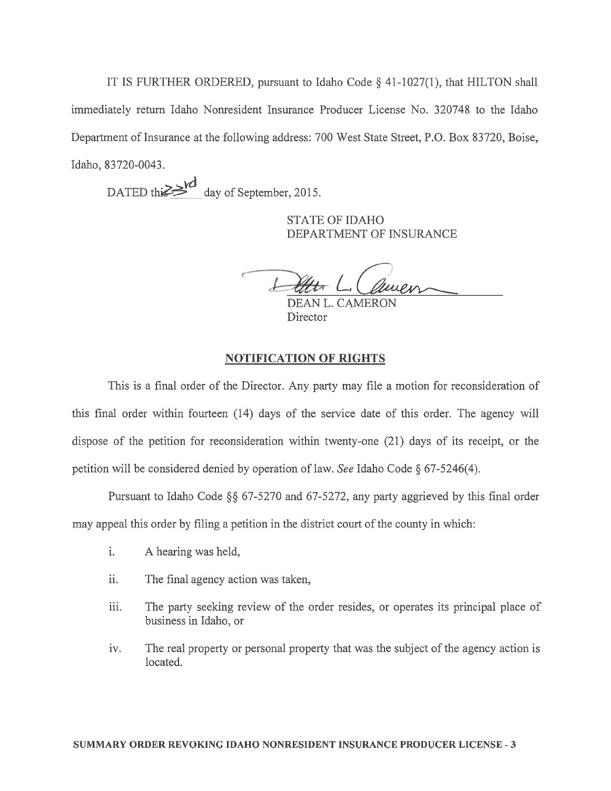IT IS FURTHER ORDERED, pursuan<sup>t</sup> to Idaho Code § 41-1027(1), that HILTON shall immediately return Idaho Nonresident Insurance Producer License No. 320748 to the Idaho Department of Insurance at the following address: 700 West State Street, P.O. Box 83720, Boise, Idaho, 83720-0043.

DATED this day of September, 2015.

STATE OF IDAHO DEPARTMENT OF INSURANCE

DEAN L. CAMERON **Director** 

# NOTIFICATION OF RIGHTS

This is <sup>a</sup> final order of the Director. Any party may file <sup>a</sup> motion for reconsideration of this final order within fourteen (14) days of the service date of this order. The agency will dispose of the petition for reconsideration within twenty-one (21) days of its receipt, or the petition will be considered denied by operation of law. See Idaho Code § 67-5246(4).

Pursuant to Idaho Code  $\S$ § 67-5270 and 67-5272, any party aggrieved by this final order may appeal this order by filing <sup>a</sup> petition in the district court of the county in which:

- i. A hearing was held,
- ii. The final agency action was taken,
- iii. The party seeking review of the order resides, or operates its principal place of business in Idaho, or
- iv. The real property or personal property that was the subject of the agency action is located.